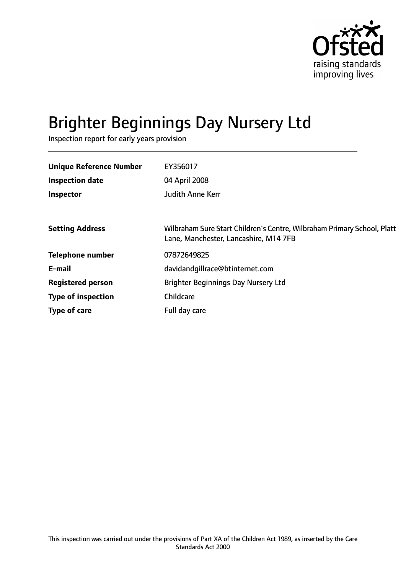

# Brighter Beginnings Day Nursery Ltd

Inspection report for early years provision

| <b>Unique Reference Number</b> | EY356017                                                                                                         |
|--------------------------------|------------------------------------------------------------------------------------------------------------------|
| <b>Inspection date</b>         | 04 April 2008                                                                                                    |
| Inspector                      | <b>Judith Anne Kerr</b>                                                                                          |
|                                |                                                                                                                  |
| <b>Setting Address</b>         | Wilbraham Sure Start Children's Centre, Wilbraham Primary School, Platt<br>Lane, Manchester, Lancashire, M14 7FB |
| <b>Telephone number</b>        | 07872649825                                                                                                      |
| E-mail                         | davidandgillrace@btinternet.com                                                                                  |
| <b>Registered person</b>       | <b>Brighter Beginnings Day Nursery Ltd</b>                                                                       |
| <b>Type of inspection</b>      | Childcare                                                                                                        |
| Type of care                   | Full day care                                                                                                    |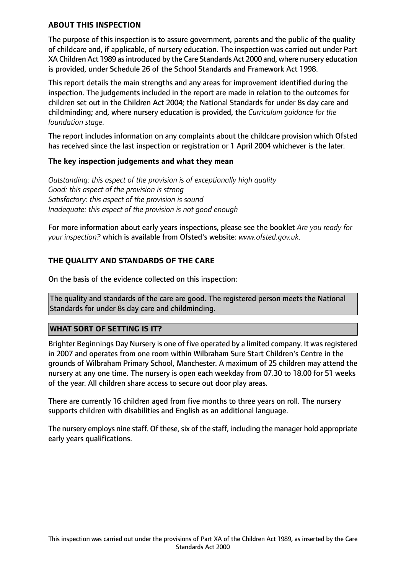## **ABOUT THIS INSPECTION**

The purpose of this inspection is to assure government, parents and the public of the quality of childcare and, if applicable, of nursery education. The inspection was carried out under Part XA Children Act 1989 as introduced by the Care Standards Act 2000 and, where nursery education is provided, under Schedule 26 of the School Standards and Framework Act 1998.

This report details the main strengths and any areas for improvement identified during the inspection. The judgements included in the report are made in relation to the outcomes for children set out in the Children Act 2004; the National Standards for under 8s day care and childminding; and, where nursery education is provided, the *Curriculum guidance for the foundation stage.*

The report includes information on any complaints about the childcare provision which Ofsted has received since the last inspection or registration or 1 April 2004 whichever is the later.

## **The key inspection judgements and what they mean**

*Outstanding: this aspect of the provision is of exceptionally high quality Good: this aspect of the provision is strong Satisfactory: this aspect of the provision is sound Inadequate: this aspect of the provision is not good enough*

For more information about early years inspections, please see the booklet *Are you ready for your inspection?* which is available from Ofsted's website: *www.ofsted.gov.uk.*

## **THE QUALITY AND STANDARDS OF THE CARE**

On the basis of the evidence collected on this inspection:

The quality and standards of the care are good. The registered person meets the National Standards for under 8s day care and childminding.

## **WHAT SORT OF SETTING IS IT?**

Brighter Beginnings Day Nursery is one of five operated by a limited company. It was registered in 2007 and operates from one room within Wilbraham Sure Start Children's Centre in the grounds of Wilbraham Primary School, Manchester. A maximum of 25 children may attend the nursery at any one time. The nursery is open each weekday from 07.30 to 18.00 for 51 weeks of the year. All children share access to secure out door play areas.

There are currently 16 children aged from five months to three years on roll. The nursery supports children with disabilities and English as an additional language.

The nursery employs nine staff. Of these, six of the staff, including the manager hold appropriate early years qualifications.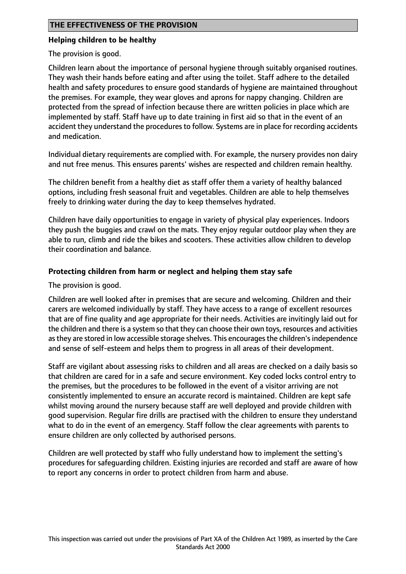## **THE EFFECTIVENESS OF THE PROVISION**

#### **Helping children to be healthy**

The provision is good.

Children learn about the importance of personal hygiene through suitably organised routines. They wash their hands before eating and after using the toilet. Staff adhere to the detailed health and safety procedures to ensure good standards of hygiene are maintained throughout the premises. For example, they wear gloves and aprons for nappy changing. Children are protected from the spread of infection because there are written policies in place which are implemented by staff. Staff have up to date training in first aid so that in the event of an accident they understand the procedures to follow. Systems are in place for recording accidents and medication.

Individual dietary requirements are complied with. For example, the nursery provides non dairy and nut free menus. This ensures parents' wishes are respected and children remain healthy.

The children benefit from a healthy diet as staff offer them a variety of healthy balanced options, including fresh seasonal fruit and vegetables. Children are able to help themselves freely to drinking water during the day to keep themselves hydrated.

Children have daily opportunities to engage in variety of physical play experiences. Indoors they push the buggies and crawl on the mats. They enjoy regular outdoor play when they are able to run, climb and ride the bikes and scooters. These activities allow children to develop their coordination and balance.

## **Protecting children from harm or neglect and helping them stay safe**

#### The provision is good.

Children are well looked after in premises that are secure and welcoming. Children and their carers are welcomed individually by staff. They have access to a range of excellent resources that are of fine quality and age appropriate for their needs. Activities are invitingly laid out for the children and there is a system so that they can choose their own toys, resources and activities as they are stored in low accessible storage shelves. This encourages the children's independence and sense of self-esteem and helps them to progress in all areas of their development.

Staff are vigilant about assessing risks to children and all areas are checked on a daily basis so that children are cared for in a safe and secure environment. Key coded locks control entry to the premises, but the procedures to be followed in the event of a visitor arriving are not consistently implemented to ensure an accurate record is maintained. Children are kept safe whilst moving around the nursery because staff are well deployed and provide children with good supervision. Regular fire drills are practised with the children to ensure they understand what to do in the event of an emergency. Staff follow the clear agreements with parents to ensure children are only collected by authorised persons.

Children are well protected by staff who fully understand how to implement the setting's procedures for safeguarding children. Existing injuries are recorded and staff are aware of how to report any concerns in order to protect children from harm and abuse.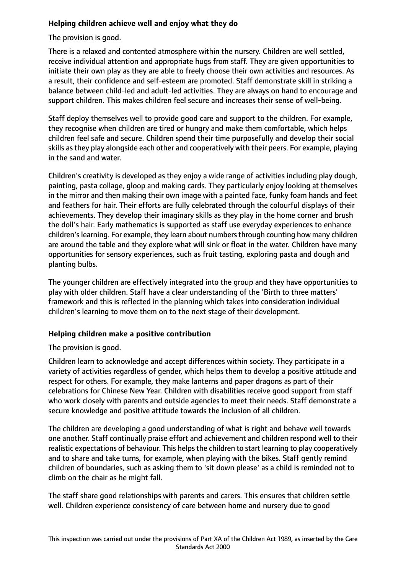## **Helping children achieve well and enjoy what they do**

The provision is good.

There is a relaxed and contented atmosphere within the nursery. Children are well settled, receive individual attention and appropriate hugs from staff. They are given opportunities to initiate their own play as they are able to freely choose their own activities and resources. As a result, their confidence and self-esteem are promoted. Staff demonstrate skill in striking a balance between child-led and adult-led activities. They are always on hand to encourage and support children. This makes children feel secure and increases their sense of well-being.

Staff deploy themselves well to provide good care and support to the children. For example, they recognise when children are tired or hungry and make them comfortable, which helps children feel safe and secure. Children spend their time purposefully and develop their social skills asthey play alongside each other and cooperatively with their peers. For example, playing in the sand and water.

Children's creativity is developed as they enjoy a wide range of activities including play dough, painting, pasta collage, gloop and making cards. They particularly enjoy looking at themselves in the mirror and then making their own image with a painted face, funky foam hands and feet and feathers for hair. Their efforts are fully celebrated through the colourful displays of their achievements. They develop their imaginary skills as they play in the home corner and brush the doll's hair. Early mathematics is supported as staff use everyday experiences to enhance children's learning. For example, they learn about numbers through counting how many children are around the table and they explore what will sink or float in the water. Children have many opportunities for sensory experiences, such as fruit tasting, exploring pasta and dough and planting bulbs.

The younger children are effectively integrated into the group and they have opportunities to play with older children. Staff have a clear understanding of the 'Birth to three matters' framework and this is reflected in the planning which takes into consideration individual children's learning to move them on to the next stage of their development.

## **Helping children make a positive contribution**

The provision is good.

Children learn to acknowledge and accept differences within society. They participate in a variety of activities regardless of gender, which helps them to develop a positive attitude and respect for others. For example, they make lanterns and paper dragons as part of their celebrations for Chinese New Year. Children with disabilities receive good support from staff who work closely with parents and outside agencies to meet their needs. Staff demonstrate a secure knowledge and positive attitude towards the inclusion of all children.

The children are developing a good understanding of what is right and behave well towards one another. Staff continually praise effort and achievement and children respond well to their realistic expectations of behaviour. This helps the children to start learning to play cooperatively and to share and take turns, for example, when playing with the bikes. Staff gently remind children of boundaries, such as asking them to 'sit down please' as a child is reminded not to climb on the chair as he might fall.

The staff share good relationships with parents and carers. This ensures that children settle well. Children experience consistency of care between home and nursery due to good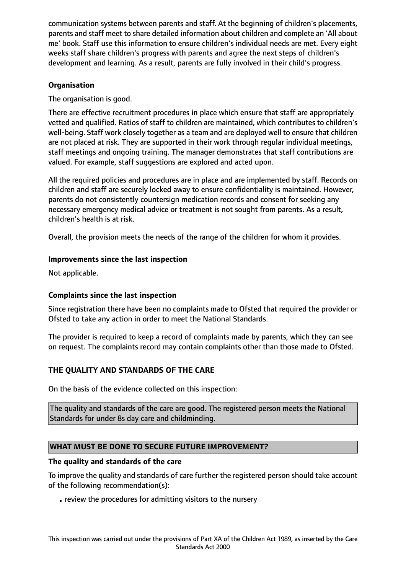communication systems between parents and staff. At the beginning of children's placements, parents and staff meet to share detailed information about children and complete an 'All about me' book. Staff use this information to ensure children's individual needs are met. Every eight weeks staff share children's progress with parents and agree the next steps of children's development and learning. As a result, parents are fully involved in their child's progress.

## **Organisation**

The organisation is good.

There are effective recruitment procedures in place which ensure that staff are appropriately vetted and qualified. Ratios of staff to children are maintained, which contributes to children's well-being. Staff work closely together as a team and are deployed well to ensure that children are not placed at risk. They are supported in their work through regular individual meetings, staff meetings and ongoing training. The manager demonstrates that staff contributions are valued. For example, staff suggestions are explored and acted upon.

All the required policies and procedures are in place and are implemented by staff. Records on children and staff are securely locked away to ensure confidentiality is maintained. However, parents do not consistently countersign medication records and consent for seeking any necessary emergency medical advice or treatment is not sought from parents. As a result, children's health is at risk.

Overall, the provision meets the needs of the range of the children for whom it provides.

## **Improvements since the last inspection**

Not applicable.

# **Complaints since the last inspection**

Since registration there have been no complaints made to Ofsted that required the provider or Ofsted to take any action in order to meet the National Standards.

The provider is required to keep a record of complaints made by parents, which they can see on request. The complaints record may contain complaints other than those made to Ofsted.

# **THE QUALITY AND STANDARDS OF THE CARE**

On the basis of the evidence collected on this inspection:

The quality and standards of the care are good. The registered person meets the National Standards for under 8s day care and childminding.

# **WHAT MUST BE DONE TO SECURE FUTURE IMPROVEMENT?**

## **The quality and standards of the care**

To improve the quality and standards of care further the registered person should take account of the following recommendation(s):

•review the procedures for admitting visitors to the nursery